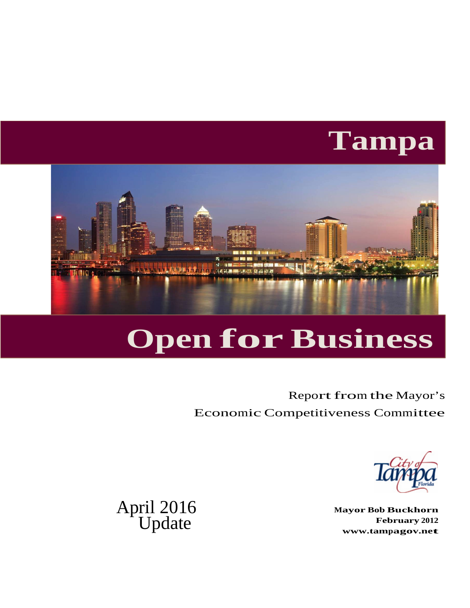## **Tampa**



# **Open for Business**

## Report from the Mayor's EconomicCompetitiveness Committee

**Mayor Bob Buckhorn February 2012 [www.tampagov.net](http://www.tampagov.net/)**

April 2016 Update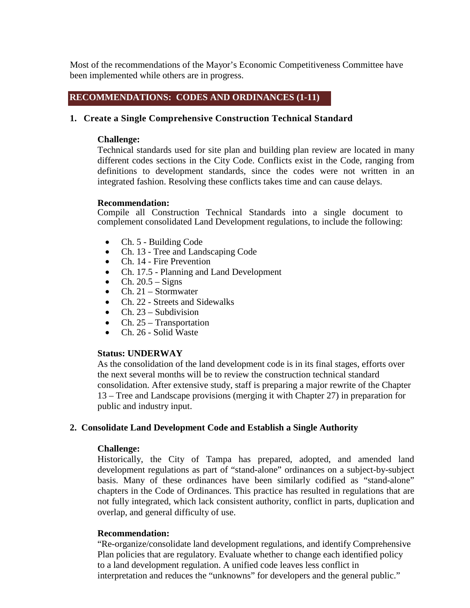Most of the recommendations of the Mayor's Economic Competitiveness Committee have been implemented while others are in progress.

## **RECOMMENDATIONS: CODES AND ORDINANCES (1-11)**

## **1. Create a Single Comprehensive Construction Technical Standard**

## **Challenge:**

Technical standards used for site plan and building plan review are located in many different codes sections in the City Code. Conflicts exist in the Code, ranging from definitions to development standards, since the codes were not written in an integrated fashion. Resolving these conflicts takes time and can cause delays.

## **Recommendation:**

Compile all Construction Technical Standards into a single document to complement consolidated Land Development regulations, to include the following:

- Ch. 5 Building Code
- Ch. 13 Tree and Landscaping Code
- Ch. 14 Fire Prevention
- Ch. 17.5 Planning and Land Development
- Ch.  $20.5 -$  Signs
- Ch.  $21 -$ Stormwater
- Ch. 22 Streets and Sidewalks
- Ch.  $23$  Subdivision
- Ch.  $25 -$ Transportation
- Ch. 26 Solid Waste

## **Status: UNDERWAY**

As the consolidation of the land development code is in its final stages, efforts over the next several months will be to review the construction technical standard consolidation. After extensive study, staff is preparing a major rewrite of the Chapter 13 – Tree and Landscape provisions (merging it with Chapter 27) in preparation for public and industry input.

## **2. Consolidate Land Development Code and Establish a Single Authority**

## **Challenge:**

Historically, the City of Tampa has prepared, adopted, and amended land development regulations as part of "stand-alone" ordinances on a subject-by-subject basis. Many of these ordinances have been similarly codified as "stand-alone" chapters in the Code of Ordinances. This practice has resulted in regulations that are not fully integrated, which lack consistent authority, conflict in parts, duplication and overlap, and general difficulty of use.

## **Recommendation:**

"Re-organize/consolidate land development regulations, and identify Comprehensive Plan policies that are regulatory. Evaluate whether to change each identified policy to a land development regulation. A unified code leaves less conflict in interpretation and reduces the "unknowns" for developers and the general public."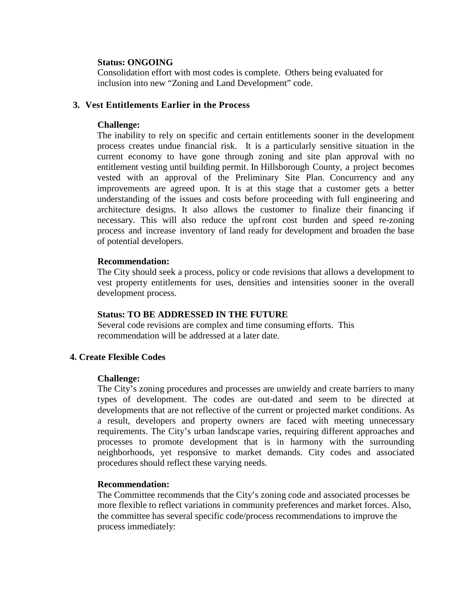## **Status: ONGOING**

Consolidation effort with most codes is complete. Others being evaluated for inclusion into new "Zoning and Land Development" code.

## **3. Vest Entitlements Earlier in the Process**

## **Challenge:**

The inability to rely on specific and certain entitlements sooner in the development process creates undue financial risk. It is a particularly sensitive situation in the current economy to have gone through zoning and site plan approval with no entitlement vesting until building permit. In Hillsborough County, a project becomes vested with an approval of the Preliminary Site Plan. Concurrency and any improvements are agreed upon. It is at this stage that a customer gets a better understanding of the issues and costs before proceeding with full engineering and architecture designs. It also allows the customer to finalize their financing if necessary. This will also reduce the upfront cost burden and speed re-zoning process and increase inventory of land ready for development and broaden the base of potential developers.

## **Recommendation:**

The City should seek a process, policy or code revisions that allows a development to vest property entitlements for uses, densities and intensities sooner in the overall development process.

## **Status: TO BE ADDRESSED IN THE FUTURE**

Several code revisions are complex and time consuming efforts. This recommendation will be addressed at a later date.

## **4. Create Flexible Codes**

## **Challenge:**

The City's zoning procedures and processes are unwieldy and create barriers to many types of development. The codes are out-dated and seem to be directed at developments that are not reflective of the current or projected market conditions. As a result, developers and property owners are faced with meeting unnecessary requirements. The City's urban landscape varies, requiring different approaches and processes to promote development that is in harmony with the surrounding neighborhoods, yet responsive to market demands. City codes and associated procedures should reflect these varying needs.

## **Recommendation:**

The Committee recommends that the City's zoning code and associated processes be more flexible to reflect variations in community preferences and market forces. Also, the committee has several specific code/process recommendations to improve the process immediately: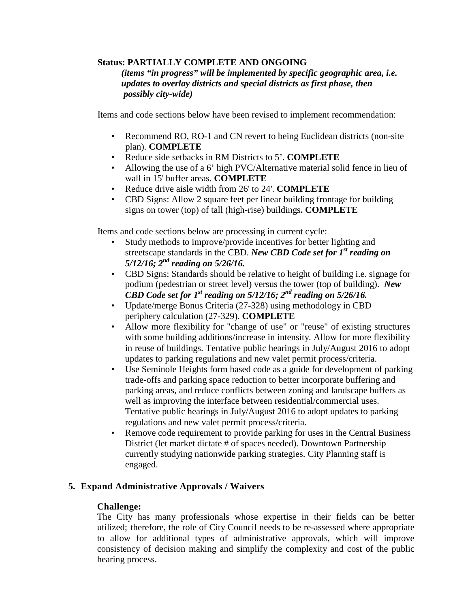## **Status: PARTIALLY COMPLETE AND ONGOING**

*(items "in progress" will be implemented by specific geographic area, i.e. updates to overlay districts and special districts as first phase, then possibly city-wide)*

Items and code sections below have been revised to implement recommendation:

- Recommend RO, RO-1 and CN revert to being Euclidean districts (non-site plan). **COMPLETE**
- Reduce side setbacks in RM Districts to 5'. **COMPLETE**
- Allowing the use of a 6' high PVC/Alternative material solid fence in lieu of wall in 15' buffer areas. **COMPLETE**
- Reduce drive aisle width from 26' to 24'. **COMPLETE**
- CBD Signs: Allow 2 square feet per linear building frontage for building signs on tower (top) of tall (high-rise) buildings**. COMPLETE**

Items and code sections below are processing in current cycle:

- Study methods to improve/provide incentives for better lighting and streetscape standards in the CBD. *New CBD Code set for 1st reading on 5/12/16; 2nd reading on 5/26/16.*
- CBD Signs: Standards should be relative to height of building i.e. signage for podium (pedestrian or street level) versus the tower (top of building). *New CBD Code set for 1st reading on 5/12/16; 2nd reading on 5/26/16.*
- Update/merge Bonus Criteria (27-328) using methodology in CBD periphery calculation (27-329). **COMPLETE**
- Allow more flexibility for "change of use" or "reuse" of existing structures with some building additions/increase in intensity. Allow for more flexibility in reuse of buildings. Tentative public hearings in July/August 2016 to adopt updates to parking regulations and new valet permit process/criteria.
- Use Seminole Heights form based code as a guide for development of parking trade-offs and parking space reduction to better incorporate buffering and parking areas, and reduce conflicts between zoning and landscape buffers as well as improving the interface between residential/commercial uses. Tentative public hearings in July/August 2016 to adopt updates to parking regulations and new valet permit process/criteria.
- Remove code requirement to provide parking for uses in the Central Business District (let market dictate # of spaces needed). Downtown Partnership currently studying nationwide parking strategies. City Planning staff is engaged.

## **5. Expand Administrative Approvals / Waivers**

## **Challenge:**

The City has many professionals whose expertise in their fields can be better utilized; therefore, the role of City Council needs to be re-assessed where appropriate to allow for additional types of administrative approvals, which will improve consistency of decision making and simplify the complexity and cost of the public hearing process.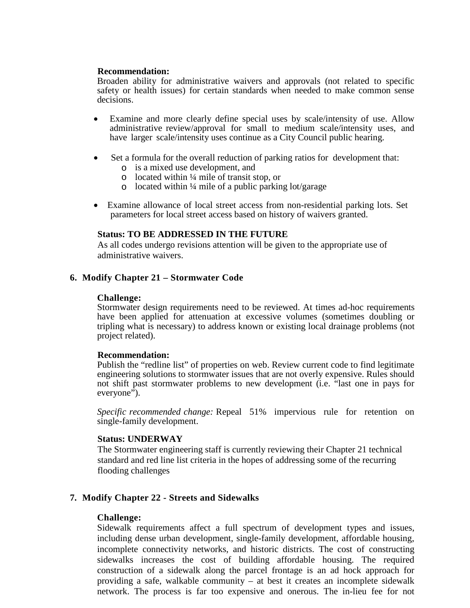## **Recommendation:**

Broaden ability for administrative waivers and approvals (not related to specific safety or health issues) for certain standards when needed to make common sense decisions.

- Examine and more clearly define special uses by scale/intensity of use. Allow administrative review/approval for small to medium scale/intensity uses, and have larger scale/intensity uses continue as a City Council public hearing.
- Set a formula for the overall reduction of parking ratios for development that:
	- o is a mixed use development, and
	- o located within ¼ mile of transit stop, or
	- $\circ$  located within ¼ mile of a public parking lot/garage
- Examine allowance of local street access from non-residential parking lots. Set parameters for local street access based on history of waivers granted.

## **Status: TO BE ADDRESSED IN THE FUTURE**

As all codes undergo revisions attention will be given to the appropriate use of administrative waivers.

## **6. Modify Chapter 21 – Stormwater Code**

## **Challenge:**

Stormwater design requirements need to be reviewed. At times ad-hoc requirements have been applied for attenuation at excessive volumes (sometimes doubling or tripling what is necessary) to address known or existing local drainage problems (not project related).

## **Recommendation:**

Publish the "redline list" of properties on web. Review current code to find legitimate engineering solutions to stormwater issues that are not overly expensive. Rules should not shift past stormwater problems to new development (i.e. "last one in pays for everyone").

*Specific recommended change:* Repeal 51% impervious rule for retention on single-family development.

## **Status: UNDERWAY**

The Stormwater engineering staff is currently reviewing their Chapter 21 technical standard and red line list criteria in the hopes of addressing some of the recurring flooding challenges

## **7. Modify Chapter 22 - Streets and Sidewalks**

## **Challenge:**

Sidewalk requirements affect a full spectrum of development types and issues, including dense urban development, single-family development, affordable housing, incomplete connectivity networks, and historic districts. The cost of constructing sidewalks increases the cost of building affordable housing. The required construction of a sidewalk along the parcel frontage is an ad hock approach for providing a safe, walkable community – at best it creates an incomplete sidewalk network. The process is far too expensive and onerous. The in-lieu fee for not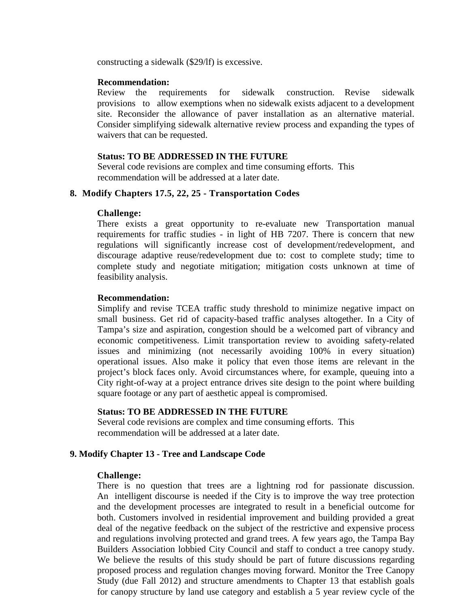constructing a sidewalk (\$29/lf) is excessive.

## **Recommendation:**

Review the requirements for sidewalk construction. Revise sidewalk provisions to allow exemptions when no sidewalk exists adjacent to a development site. Reconsider the allowance of paver installation as an alternative material. Consider simplifying sidewalk alternative review process and expanding the types of waivers that can be requested.

## **Status: TO BE ADDRESSED IN THE FUTURE**

Several code revisions are complex and time consuming efforts. This recommendation will be addressed at a later date.

## **8. Modify Chapters 17.5, 22, 25 - Transportation Codes**

## **Challenge:**

There exists a great opportunity to re-evaluate new Transportation manual requirements for traffic studies - in light of HB 7207. There is concern that new regulations will significantly increase cost of development/redevelopment, and discourage adaptive reuse/redevelopment due to: cost to complete study; time to complete study and negotiate mitigation; mitigation costs unknown at time of feasibility analysis.

## **Recommendation:**

Simplify and revise TCEA traffic study threshold to minimize negative impact on small business. Get rid of capacity-based traffic analyses altogether. In a City of Tampa's size and aspiration, congestion should be a welcomed part of vibrancy and economic competitiveness. Limit transportation review to avoiding safety-related issues and minimizing (not necessarily avoiding 100% in every situation) operational issues. Also make it policy that even those items are relevant in the project's block faces only. Avoid circumstances where, for example, queuing into a City right-of-way at a project entrance drives site design to the point where building square footage or any part of aesthetic appeal is compromised.

## **Status: TO BE ADDRESSED IN THE FUTURE**

Several code revisions are complex and time consuming efforts. This recommendation will be addressed at a later date.

#### **9. Modify Chapter 13 - Tree and Landscape Code**

#### **Challenge:**

There is no question that trees are a lightning rod for passionate discussion. An intelligent discourse is needed if the City is to improve the way tree protection and the development processes are integrated to result in a beneficial outcome for both. Customers involved in residential improvement and building provided a great deal of the negative feedback on the subject of the restrictive and expensive process and regulations involving protected and grand trees. A few years ago, the Tampa Bay Builders Association lobbied City Council and staff to conduct a tree canopy study. We believe the results of this study should be part of future discussions regarding proposed process and regulation changes moving forward. Monitor the Tree Canopy Study (due Fall 2012) and structure amendments to Chapter 13 that establish goals for canopy structure by land use category and establish a 5 year review cycle of the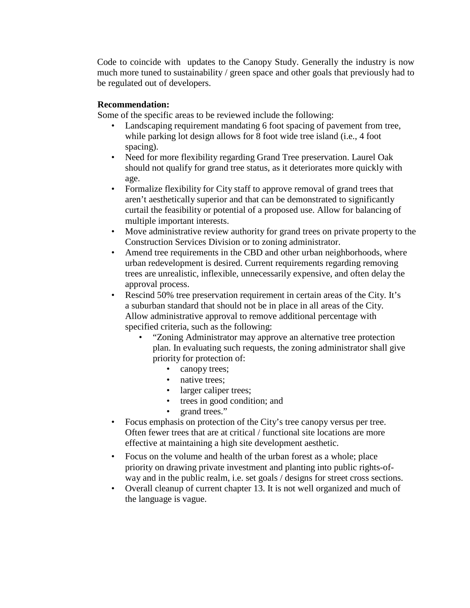Code to coincide with updates to the Canopy Study. Generally the industry is now much more tuned to sustainability / green space and other goals that previously had to be regulated out of developers.

## **Recommendation:**

Some of the specific areas to be reviewed include the following:

- Landscaping requirement mandating 6 foot spacing of pavement from tree, while parking lot design allows for 8 foot wide tree island (i.e., 4 foot spacing).
- Need for more flexibility regarding Grand Tree preservation. Laurel Oak should not qualify for grand tree status, as it deteriorates more quickly with age.
- Formalize flexibility for City staff to approve removal of grand trees that aren't aesthetically superior and that can be demonstrated to significantly curtail the feasibility or potential of a proposed use. Allow for balancing of multiple important interests.
- Move administrative review authority for grand trees on private property to the Construction Services Division or to zoning administrator.
- Amend tree requirements in the CBD and other urban neighborhoods, where urban redevelopment is desired. Current requirements regarding removing trees are unrealistic, inflexible, unnecessarily expensive, and often delay the approval process.
- Rescind 50% tree preservation requirement in certain areas of the City. It's a suburban standard that should not be in place in all areas of the City. Allow administrative approval to remove additional percentage with specified criteria, such as the following:
	- "Zoning Administrator may approve an alternative tree protection plan. In evaluating such requests, the zoning administrator shall give priority for protection of:
		- canopy trees;
		- native trees;
		- larger caliper trees;
		- trees in good condition; and
		- grand trees."
- Focus emphasis on protection of the City's tree canopy versus per tree. Often fewer trees that are at critical / functional site locations are more effective at maintaining a high site development aesthetic.
- Focus on the volume and health of the urban forest as a whole; place priority on drawing private investment and planting into public rights-ofway and in the public realm, i.e. set goals / designs for street cross sections.
- Overall cleanup of current chapter 13. It is not well organized and much of the language is vague.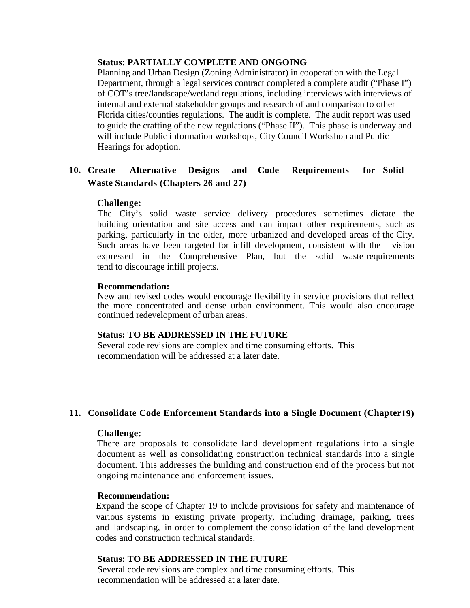## **Status: PARTIALLY COMPLETE AND ONGOING**

Planning and Urban Design (Zoning Administrator) in cooperation with the Legal Department, through a legal services contract completed a complete audit ("Phase I") of COT's tree/landscape/wetland regulations, including interviews with interviews of internal and external stakeholder groups and research of and comparison to other Florida cities/counties regulations. The audit is complete. The audit report was used to guide the crafting of the new regulations ("Phase II"). This phase is underway and will include Public information workshops, City Council Workshop and Public Hearings for adoption.

## **10. Create Alternative Designs and Code Requirements for Solid Waste Standards (Chapters 26 and 27)**

## **Challenge:**

The City's solid waste service delivery procedures sometimes dictate the building orientation and site access and can impact other requirements, such as parking, particularly in the older, more urbanized and developed areas of the City. Such areas have been targeted for infill development, consistent with the vision expressed in the Comprehensive Plan, but the solid waste requirements tend to discourage infill projects.

## **Recommendation:**

New and revised codes would encourage flexibility in service provisions that reflect the more concentrated and dense urban environment. This would also encourage continued redevelopment of urban areas.

### **Status: TO BE ADDRESSED IN THE FUTURE**

Several code revisions are complex and time consuming efforts. This recommendation will be addressed at a later date.

## **11. Consolidate Code Enforcement Standards into a Single Document (Chapter19)**

## **Challenge:**

There are proposals to consolidate land development regulations into a single document as well as consolidating construction technical standards into a single document. This addresses the building and construction end of the process but not ongoing maintenance and enforcement issues.

#### **Recommendation:**

Expand the scope of Chapter 19 to include provisions for safety and maintenance of various systems in existing private property, including drainage, parking, trees and landscaping, in order to complement the consolidation of the land development codes and construction technical standards.

## **Status: TO BE ADDRESSED IN THE FUTURE**

Several code revisions are complex and time consuming efforts. This recommendation will be addressed at a later date.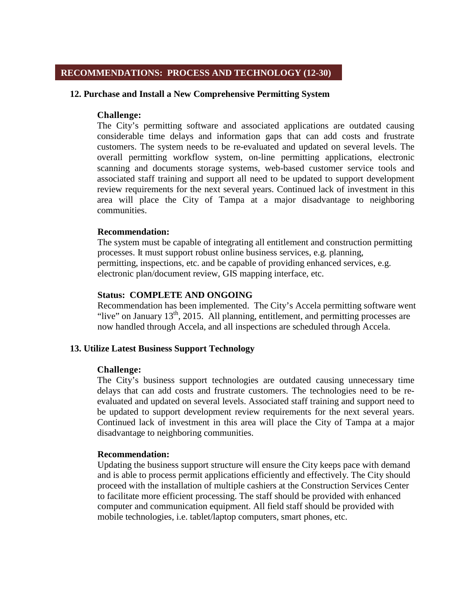## **RECOMMENDATIONS: PROCESS AND TECHNOLOGY (12-30)**

## **12. Purchase and Install a New Comprehensive Permitting System**

#### **Challenge:**

The City's permitting software and associated applications are outdated causing considerable time delays and information gaps that can add costs and frustrate customers. The system needs to be re-evaluated and updated on several levels. The overall permitting workflow system, on-line permitting applications, electronic scanning and documents storage systems, web-based customer service tools and associated staff training and support all need to be updated to support development review requirements for the next several years. Continued lack of investment in this area will place the City of Tampa at a major disadvantage to neighboring communities.

## **Recommendation:**

The system must be capable of integrating all entitlement and construction permitting processes. It must support robust online business services, e.g. planning, permitting, inspections, etc. and be capable of providing enhanced services, e.g. electronic plan/document review, GIS mapping interface, etc.

## **Status: COMPLETE AND ONGOING**

Recommendation has been implemented. The City's Accela permitting software went "live" on January  $13<sup>th</sup>$ , 2015. All planning, entitlement, and permitting processes are now handled through Accela, and all inspections are scheduled through Accela.

## **13. Utilize Latest Business Support Technology**

#### **Challenge:**

The City's business support technologies are outdated causing unnecessary time delays that can add costs and frustrate customers. The technologies need to be reevaluated and updated on several levels. Associated staff training and support need to be updated to support development review requirements for the next several years. Continued lack of investment in this area will place the City of Tampa at a major disadvantage to neighboring communities.

#### **Recommendation:**

Updating the business support structure will ensure the City keeps pace with demand and is able to process permit applications efficiently and effectively. The City should proceed with the installation of multiple cashiers at the Construction Services Center to facilitate more efficient processing. The staff should be provided with enhanced computer and communication equipment. All field staff should be provided with mobile technologies, i.e. tablet/laptop computers, smart phones, etc.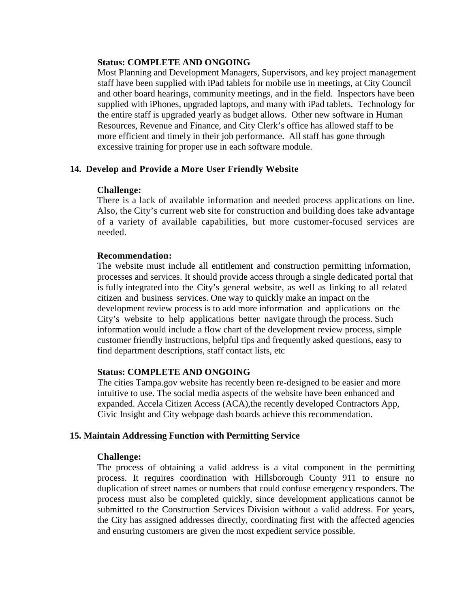## **Status: COMPLETE AND ONGOING**

Most Planning and Development Managers, Supervisors, and key project management staff have been supplied with iPad tablets for mobile use in meetings, at City Council and other board hearings, community meetings, and in the field. Inspectors have been supplied with iPhones, upgraded laptops, and many with iPad tablets. Technology for the entire staff is upgraded yearly as budget allows. Other new software in Human Resources, Revenue and Finance, and City Clerk's office has allowed staff to be more efficient and timely in their job performance. All staff has gone through excessive training for proper use in each software module.

## **14. Develop and Provide a More User Friendly Website**

## **Challenge:**

There is a lack of available information and needed process applications on line. Also, the City's current web site for construction and building does take advantage of a variety of available capabilities, but more customer-focused services are needed.

## **Recommendation:**

The website must include all entitlement and construction permitting information, processes and services. It should provide access through a single dedicated portal that is fully integrated into the City's general website, as well as linking to all related citizen and business services. One way to quickly make an impact on the development review process is to add more information and applications on the City's website to help applications better navigate through the process. Such information would include a flow chart of the development review process, simple customer friendly instructions, helpful tips and frequently asked questions, easy to find department descriptions, staff contact lists, etc

## **Status: COMPLETE AND ONGOING**

The cities Tampa.gov website has recently been re-designed to be easier and more intuitive to use. The social media aspects of the website have been enhanced and expanded. Accela Citizen Access (ACA),the recently developed Contractors App, Civic Insight and City webpage dash boards achieve this recommendation.

## **15. Maintain Addressing Function with Permitting Service**

## **Challenge:**

The process of obtaining a valid address is a vital component in the permitting process. It requires coordination with Hillsborough County 911 to ensure no duplication of street names or numbers that could confuse emergency responders. The process must also be completed quickly, since development applications cannot be submitted to the Construction Services Division without a valid address. For years, the City has assigned addresses directly, coordinating first with the affected agencies and ensuring customers are given the most expedient service possible.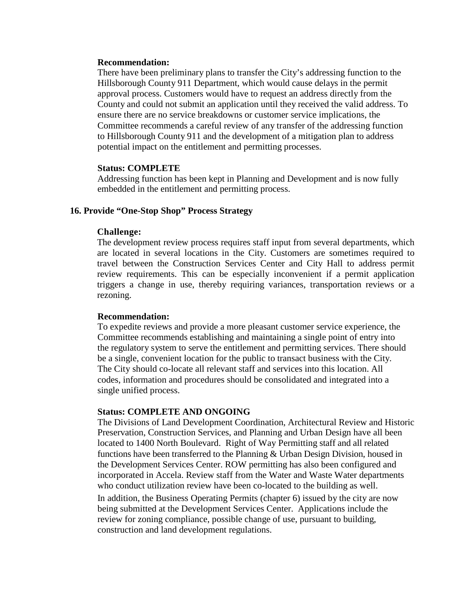## **Recommendation:**

There have been preliminary plans to transfer the City's addressing function to the Hillsborough County 911 Department, which would cause delays in the permit approval process. Customers would have to request an address directly from the County and could not submit an application until they received the valid address. To ensure there are no service breakdowns or customer service implications, the Committee recommends a careful review of any transfer of the addressing function to Hillsborough County 911 and the development of a mitigation plan to address potential impact on the entitlement and permitting processes.

## **Status: COMPLETE**

Addressing function has been kept in Planning and Development and is now fully embedded in the entitlement and permitting process.

## **16. Provide "One-Stop Shop" Process Strategy**

## **Challenge:**

The development review process requires staff input from several departments, which are located in several locations in the City. Customers are sometimes required to travel between the Construction Services Center and City Hall to address permit review requirements. This can be especially inconvenient if a permit application triggers a change in use, thereby requiring variances, transportation reviews or a rezoning.

#### **Recommendation:**

To expedite reviews and provide a more pleasant customer service experience, the Committee recommends establishing and maintaining a single point of entry into the regulatory system to serve the entitlement and permitting services. There should be a single, convenient location for the public to transact business with the City. The City should co-locate all relevant staff and services into this location. All codes, information and procedures should be consolidated and integrated into a single unified process.

## **Status: COMPLETE AND ONGOING**

The Divisions of Land Development Coordination, Architectural Review and Historic Preservation, Construction Services, and Planning and Urban Design have all been located to 1400 North Boulevard. Right of Way Permitting staff and all related functions have been transferred to the Planning & Urban Design Division, housed in the Development Services Center. ROW permitting has also been configured and incorporated in Accela. Review staff from the Water and Waste Water departments who conduct utilization review have been co-located to the building as well. In addition, the Business Operating Permits (chapter 6) issued by the city are now being submitted at the Development Services Center. Applications include the review for zoning compliance, possible change of use, pursuant to building, construction and land development regulations.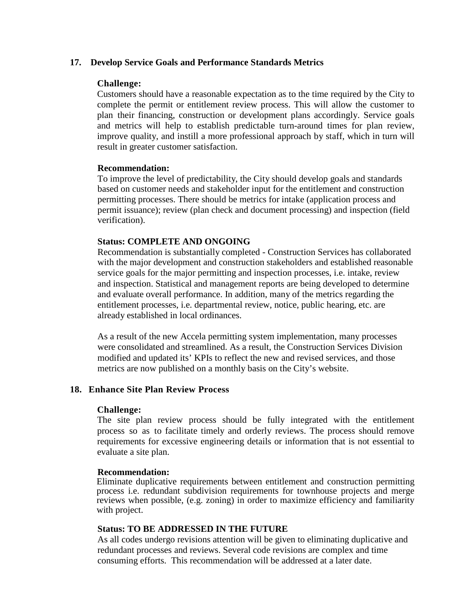## **17. Develop Service Goals and Performance Standards Metrics**

## **Challenge:**

Customers should have a reasonable expectation as to the time required by the City to complete the permit or entitlement review process. This will allow the customer to plan their financing, construction or development plans accordingly. Service goals and metrics will help to establish predictable turn-around times for plan review, improve quality, and instill a more professional approach by staff, which in turn will result in greater customer satisfaction.

## **Recommendation:**

To improve the level of predictability, the City should develop goals and standards based on customer needs and stakeholder input for the entitlement and construction permitting processes. There should be metrics for intake (application process and permit issuance); review (plan check and document processing) and inspection (field verification).

## **Status: COMPLETE AND ONGOING**

Recommendation is substantially completed - Construction Services has collaborated with the major development and construction stakeholders and established reasonable service goals for the major permitting and inspection processes, i.e. intake, review and inspection. Statistical and management reports are being developed to determine and evaluate overall performance. In addition, many of the metrics regarding the entitlement processes, i.e. departmental review, notice, public hearing, etc. are already established in local ordinances.

As a result of the new Accela permitting system implementation, many processes were consolidated and streamlined. As a result, the Construction Services Division modified and updated its' KPIs to reflect the new and revised services, and those metrics are now published on a monthly basis on the City's website.

## **18. Enhance Site Plan Review Process**

## **Challenge:**

The site plan review process should be fully integrated with the entitlement process so as to facilitate timely and orderly reviews. The process should remove requirements for excessive engineering details or information that is not essential to evaluate a site plan.

## **Recommendation:**

Eliminate duplicative requirements between entitlement and construction permitting process i.e. redundant subdivision requirements for townhouse projects and merge reviews when possible, (e.g. zoning) in order to maximize efficiency and familiarity with project.

## **Status: TO BE ADDRESSED IN THE FUTURE**

As all codes undergo revisions attention will be given to eliminating duplicative and redundant processes and reviews. Several code revisions are complex and time consuming efforts. This recommendation will be addressed at a later date.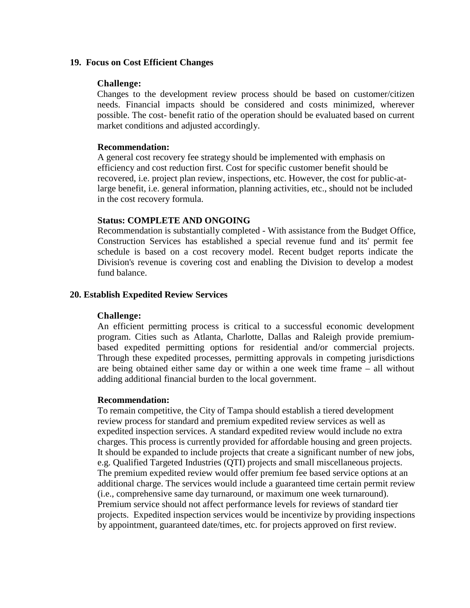## **19. Focus on Cost Efficient Changes**

#### **Challenge:**

Changes to the development review process should be based on customer/citizen needs. Financial impacts should be considered and costs minimized, wherever possible. The cost- benefit ratio of the operation should be evaluated based on current market conditions and adjusted accordingly.

## **Recommendation:**

A general cost recovery fee strategy should be implemented with emphasis on efficiency and cost reduction first. Cost for specific customer benefit should be recovered, i.e. project plan review, inspections, etc. However, the cost for public-atlarge benefit, i.e. general information, planning activities, etc., should not be included in the cost recovery formula.

## **Status: COMPLETE AND ONGOING**

Recommendation is substantially completed - With assistance from the Budget Office, Construction Services has established a special revenue fund and its' permit fee schedule is based on a cost recovery model. Recent budget reports indicate the Division's revenue is covering cost and enabling the Division to develop a modest fund balance.

## **20. Establish Expedited Review Services**

## **Challenge:**

An efficient permitting process is critical to a successful economic development program. Cities such as Atlanta, Charlotte, Dallas and Raleigh provide premiumbased expedited permitting options for residential and/or commercial projects. Through these expedited processes, permitting approvals in competing jurisdictions are being obtained either same day or within a one week time frame – all without adding additional financial burden to the local government.

#### **Recommendation:**

To remain competitive, the City of Tampa should establish a tiered development review process for standard and premium expedited review services as well as expedited inspection services. A standard expedited review would include no extra charges. This process is currently provided for affordable housing and green projects. It should be expanded to include projects that create a significant number of new jobs, e.g. Qualified Targeted Industries (QTI) projects and small miscellaneous projects. The premium expedited review would offer premium fee based service options at an additional charge. The services would include a guaranteed time certain permit review (i.e., comprehensive same day turnaround, or maximum one week turnaround). Premium service should not affect performance levels for reviews of standard tier projects. Expedited inspection services would be incentivize by providing inspections by appointment, guaranteed date/times, etc. for projects approved on first review.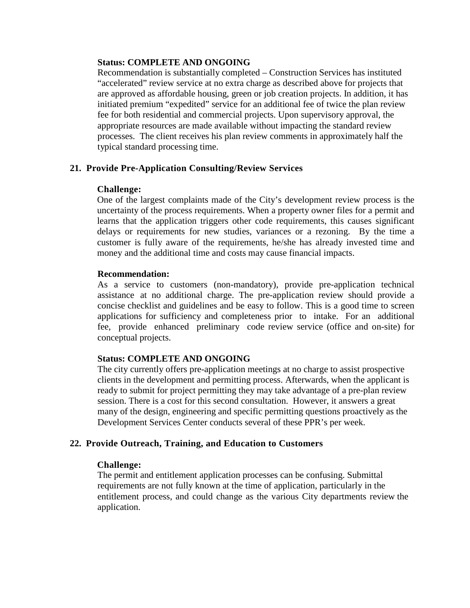## **Status: COMPLETE AND ONGOING**

Recommendation is substantially completed – Construction Services has instituted "accelerated" review service at no extra charge as described above for projects that are approved as affordable housing, green or job creation projects. In addition, it has initiated premium "expedited" service for an additional fee of twice the plan review fee for both residential and commercial projects. Upon supervisory approval, the appropriate resources are made available without impacting the standard review processes. The client receives his plan review comments in approximately half the typical standard processing time.

## **21. Provide Pre-Application Consulting/Review Services**

## **Challenge:**

One of the largest complaints made of the City's development review process is the uncertainty of the process requirements. When a property owner files for a permit and learns that the application triggers other code requirements, this causes significant delays or requirements for new studies, variances or a rezoning. By the time a customer is fully aware of the requirements, he/she has already invested time and money and the additional time and costs may cause financial impacts.

## **Recommendation:**

As a service to customers (non-mandatory), provide pre-application technical assistance at no additional charge. The pre-application review should provide a concise checklist and guidelines and be easy to follow. This is a good time to screen applications for sufficiency and completeness prior to intake. For an additional fee, provide enhanced preliminary code review service (office and on-site) for conceptual projects.

## **Status: COMPLETE AND ONGOING**

The city currently offers pre-application meetings at no charge to assist prospective clients in the development and permitting process. Afterwards, when the applicant is ready to submit for project permitting they may take advantage of a pre-plan review session. There is a cost for this second consultation. However, it answers a great many of the design, engineering and specific permitting questions proactively as the Development Services Center conducts several of these PPR's per week.

## **22. Provide Outreach, Training, and Education to Customers**

## **Challenge:**

The permit and entitlement application processes can be confusing. Submittal requirements are not fully known at the time of application, particularly in the entitlement process, and could change as the various City departments review the application.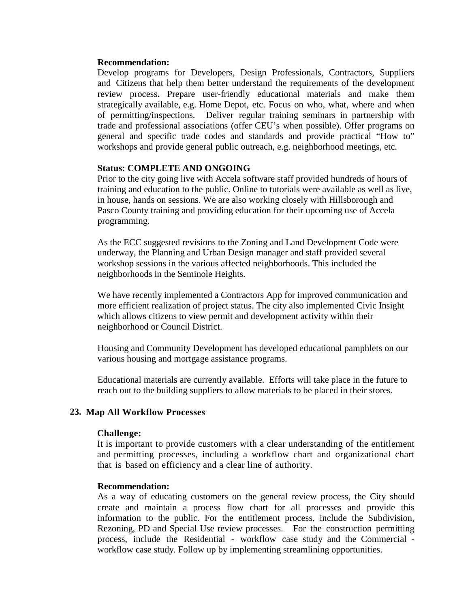## **Recommendation:**

Develop programs for Developers, Design Professionals, Contractors, Suppliers and Citizens that help them better understand the requirements of the development review process. Prepare user-friendly educational materials and make them strategically available, e.g. Home Depot, etc. Focus on who, what, where and when of permitting/inspections. Deliver regular training seminars in partnership with trade and professional associations (offer CEU's when possible). Offer programs on general and specific trade codes and standards and provide practical "How to" workshops and provide general public outreach, e.g. neighborhood meetings, etc.

#### **Status: COMPLETE AND ONGOING**

Prior to the city going live with Accela software staff provided hundreds of hours of training and education to the public. Online to tutorials were available as well as live, in house, hands on sessions. We are also working closely with Hillsborough and Pasco County training and providing education for their upcoming use of Accela programming.

As the ECC suggested revisions to the Zoning and Land Development Code were underway, the Planning and Urban Design manager and staff provided several workshop sessions in the various affected neighborhoods. This included the neighborhoods in the Seminole Heights.

We have recently implemented a Contractors App for improved communication and more efficient realization of project status. The city also implemented Civic Insight which allows citizens to view permit and development activity within their neighborhood or Council District.

Housing and Community Development has developed educational pamphlets on our various housing and mortgage assistance programs.

Educational materials are currently available. Efforts will take place in the future to reach out to the building suppliers to allow materials to be placed in their stores.

## **23. Map All Workflow Processes**

#### **Challenge:**

It is important to provide customers with a clear understanding of the entitlement and permitting processes, including a workflow chart and organizational chart that is based on efficiency and a clear line of authority.

## **Recommendation:**

As a way of educating customers on the general review process, the City should create and maintain a process flow chart for all processes and provide this information to the public. For the entitlement process, include the Subdivision, Rezoning, PD and Special Use review processes. For the construction permitting process, include the Residential - workflow case study and the Commercial workflow case study. Follow up by implementing streamlining opportunities.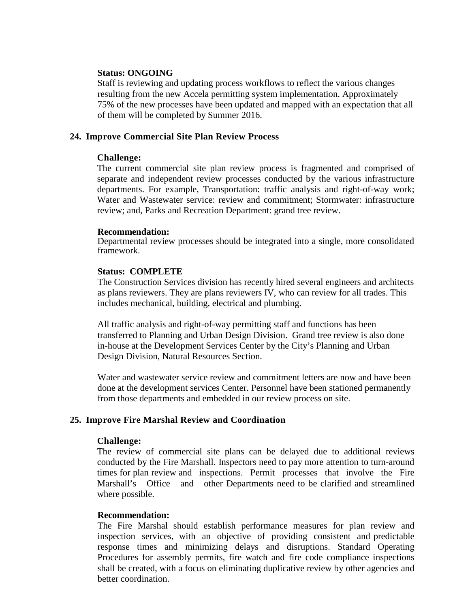## **Status: ONGOING**

Staff is reviewing and updating process workflows to reflect the various changes resulting from the new Accela permitting system implementation. Approximately 75% of the new processes have been updated and mapped with an expectation that all of them will be completed by Summer 2016.

## **24. Improve Commercial Site Plan Review Process**

## **Challenge:**

The current commercial site plan review process is fragmented and comprised of separate and independent review processes conducted by the various infrastructure departments. For example, Transportation: traffic analysis and right-of-way work; Water and Wastewater service: review and commitment; Stormwater: infrastructure review; and, Parks and Recreation Department: grand tree review.

## **Recommendation:**

Departmental review processes should be integrated into a single, more consolidated framework.

## **Status: COMPLETE**

The Construction Services division has recently hired several engineers and architects as plans reviewers. They are plans reviewers IV, who can review for all trades. This includes mechanical, building, electrical and plumbing.

All traffic analysis and right-of-way permitting staff and functions has been transferred to Planning and Urban Design Division. Grand tree review is also done in-house at the Development Services Center by the City's Planning and Urban Design Division, Natural Resources Section.

Water and wastewater service review and commitment letters are now and have been done at the development services Center. Personnel have been stationed permanently from those departments and embedded in our review process on site.

## **25. Improve Fire Marshal Review and Coordination**

## **Challenge:**

The review of commercial site plans can be delayed due to additional reviews conducted by the Fire Marshall. Inspectors need to pay more attention to turn-around times for plan review and inspections. Permit processes that involve the Fire Marshall's Office and other Departments need to be clarified and streamlined where possible.

## **Recommendation:**

The Fire Marshal should establish performance measures for plan review and inspection services, with an objective of providing consistent and predictable response times and minimizing delays and disruptions. Standard Operating Procedures for assembly permits, fire watch and fire code compliance inspections shall be created, with a focus on eliminating duplicative review by other agencies and better coordination.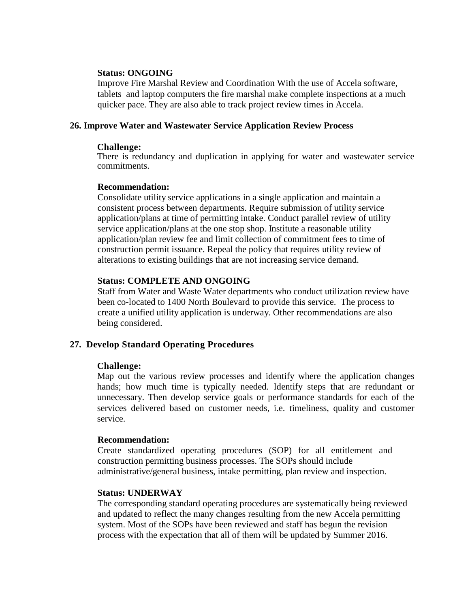## **Status: ONGOING**

Improve Fire Marshal Review and Coordination With the use of Accela software, tablets and laptop computers the fire marshal make complete inspections at a much quicker pace. They are also able to track project review times in Accela.

## **26. Improve Water and Wastewater Service Application Review Process**

## **Challenge:**

There is redundancy and duplication in applying for water and wastewater service commitments.

## **Recommendation:**

Consolidate utility service applications in a single application and maintain a consistent process between departments. Require submission of utility service application/plans at time of permitting intake. Conduct parallel review of utility service application/plans at the one stop shop. Institute a reasonable utility application/plan review fee and limit collection of commitment fees to time of construction permit issuance. Repeal the policy that requires utility review of alterations to existing buildings that are not increasing service demand.

## **Status: COMPLETE AND ONGOING**

Staff from Water and Waste Water departments who conduct utilization review have been co-located to 1400 North Boulevard to provide this service. The process to create a unified utility application is underway. Other recommendations are also being considered.

## **27. Develop Standard Operating Procedures**

## **Challenge:**

Map out the various review processes and identify where the application changes hands; how much time is typically needed. Identify steps that are redundant or unnecessary. Then develop service goals or performance standards for each of the services delivered based on customer needs, i.e. timeliness, quality and customer service.

## **Recommendation:**

Create standardized operating procedures (SOP) for all entitlement and construction permitting business processes. The SOPs should include administrative/general business, intake permitting, plan review and inspection.

## **Status: UNDERWAY**

The corresponding standard operating procedures are systematically being reviewed and updated to reflect the many changes resulting from the new Accela permitting system. Most of the SOPs have been reviewed and staff has begun the revision process with the expectation that all of them will be updated by Summer 2016.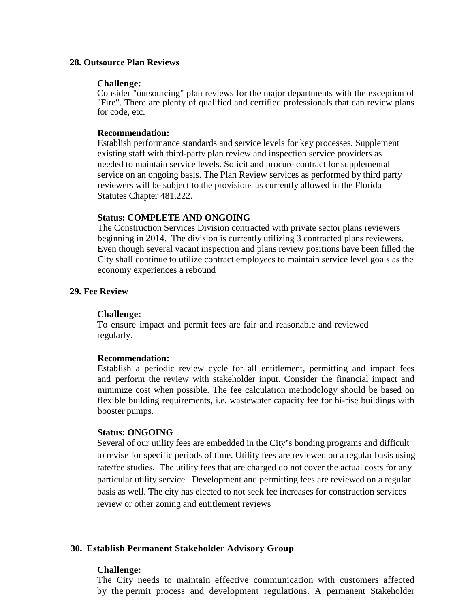## **28. Outsource Plan Reviews**

## **Challenge:**

Consider "outsourcing" plan reviews for the major departments with the exception of "Fire". There are plenty of qualified and certified professionals that can review plans for code, etc.

## **Recommendation:**

Establish performance standards and service levels for key processes. Supplement existing staff with third-party plan review and inspection service providers as needed to maintain service levels. Solicit and procure contract for supplemental service on an ongoing basis. The Plan Review services as performed by third party reviewers will be subject to the provisions as currently allowed in the Florida Statutes Chapter 481.222.

## **Status: COMPLETE AND ONGOING**

The Construction Services Division contracted with private sector plans reviewers beginning in 2014. The division is currently utilizing 3 contracted plans reviewers. Even though several vacant inspection and plans review positions have been filled the City shall continue to utilize contract employees to maintain service level goals as the economy experiences a rebound

## **29. Fee Review**

#### **Challenge:**

To ensure impact and permit fees are fair and reasonable and reviewed regularly.

#### **Recommendation:**

Establish a periodic review cycle for all entitlement, permitting and impact fees and perform the review with stakeholder input. Consider the financial impact and minimize cost when possible. The fee calculation methodology should be based on flexible building requirements, i.e. wastewater capacity fee for hi-rise buildings with booster pumps.

## **Status: ONGOING**

Several of our utility fees are embedded in the City's bonding programs and difficult to revise for specific periods of time. Utility fees are reviewed on a regular basis using rate/fee studies. The utility fees that are charged do not cover the actual costs for any particular utility service. Development and permitting fees are reviewed on a regular basis as well. The city has elected to not seek fee increases for construction services review or other zoning and entitlement reviews

## **30. Establish Permanent Stakeholder Advisory Group**

#### **Challenge:**

The City needs to maintain effective communication with customers affected by the permit process and development regulations. A permanent Stakeholder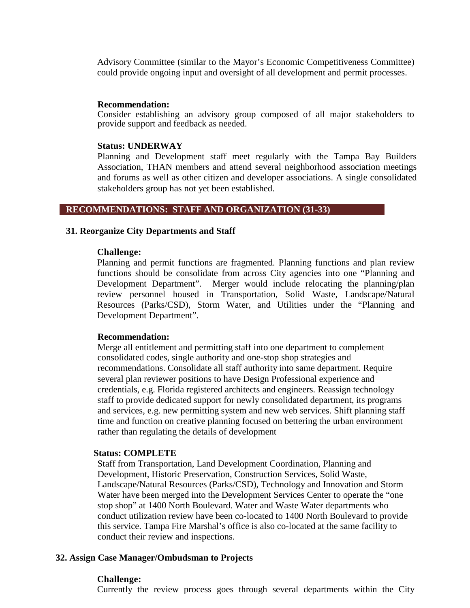Advisory Committee (similar to the Mayor's Economic Competitiveness Committee) could provide ongoing input and oversight of all development and permit processes.

#### **Recommendation:**

Consider establishing an advisory group composed of all major stakeholders to provide support and feedback as needed.

#### **Status: UNDERWAY**

Planning and Development staff meet regularly with the Tampa Bay Builders Association, THAN members and attend several neighborhood association meetings and forums as well as other citizen and developer associations. A single consolidated stakeholders group has not yet been established.

## **RECOMMENDATIONS: STAFF AND ORGANIZATION (31-33)**

#### **31. Reorganize City Departments and Staff**

#### **Challenge:**

Planning and permit functions are fragmented. Planning functions and plan review functions should be consolidate from across City agencies into one "Planning and Development Department". Merger would include relocating the planning/plan review personnel housed in Transportation, Solid Waste, Landscape/Natural Resources (Parks/CSD), Storm Water, and Utilities under the "Planning and Development Department".

#### **Recommendation:**

Merge all entitlement and permitting staff into one department to complement consolidated codes, single authority and one-stop shop strategies and recommendations. Consolidate all staff authority into same department. Require several plan reviewer positions to have Design Professional experience and credentials, e.g. Florida registered architects and engineers. Reassign technology staff to provide dedicated support for newly consolidated department, its programs and services, e.g. new permitting system and new web services. Shift planning staff time and function on creative planning focused on bettering the urban environment rather than regulating the details of development

## **Status: COMPLETE**

Staff from Transportation, Land Development Coordination, Planning and Development, Historic Preservation, Construction Services, Solid Waste, Landscape/Natural Resources (Parks/CSD), Technology and Innovation and Storm Water have been merged into the Development Services Center to operate the "one stop shop" at 1400 North Boulevard. Water and Waste Water departments who conduct utilization review have been co-located to 1400 North Boulevard to provide this service. Tampa Fire Marshal's office is also co-located at the same facility to conduct their review and inspections.

#### **32. Assign Case Manager/Ombudsman to Projects**

#### **Challenge:**

Currently the review process goes through several departments within the City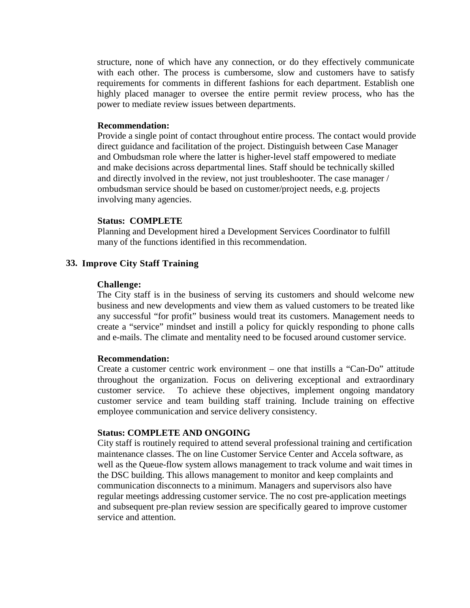structure, none of which have any connection, or do they effectively communicate with each other. The process is cumbersome, slow and customers have to satisfy requirements for comments in different fashions for each department. Establish one highly placed manager to oversee the entire permit review process, who has the power to mediate review issues between departments.

#### **Recommendation:**

Provide a single point of contact throughout entire process. The contact would provide direct guidance and facilitation of the project. Distinguish between Case Manager and Ombudsman role where the latter is higher-level staff empowered to mediate and make decisions across departmental lines. Staff should be technically skilled and directly involved in the review, not just troubleshooter. The case manager / ombudsman service should be based on customer/project needs, e.g. projects involving many agencies.

## **Status: COMPLETE**

Planning and Development hired a Development Services Coordinator to fulfill many of the functions identified in this recommendation.

## **33. Improve City Staff Training**

## **Challenge:**

The City staff is in the business of serving its customers and should welcome new business and new developments and view them as valued customers to be treated like any successful "for profit" business would treat its customers. Management needs to create a "service" mindset and instill a policy for quickly responding to phone calls and e-mails. The climate and mentality need to be focused around customer service.

#### **Recommendation:**

Create a customer centric work environment – one that instills a "Can-Do" attitude throughout the organization. Focus on delivering exceptional and extraordinary customer service. To achieve these objectives, implement ongoing mandatory customer service and team building staff training. Include training on effective employee communication and service delivery consistency.

#### **Status: COMPLETE AND ONGOING**

City staff is routinely required to attend several professional training and certification maintenance classes. The on line Customer Service Center and Accela software, as well as the Queue-flow system allows management to track volume and wait times in the DSC building. This allows management to monitor and keep complaints and communication disconnects to a minimum. Managers and supervisors also have regular meetings addressing customer service. The no cost pre-application meetings and subsequent pre-plan review session are specifically geared to improve customer service and attention.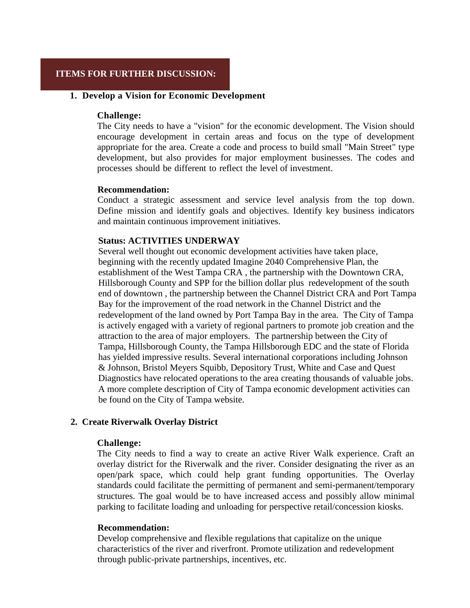## **ITEMS FOR FURTHER DISCUSSION:**

#### **1. Develop a Vision for Economic Development**

#### **Challenge:**

The City needs to have a "vision" for the economic development. The Vision should encourage development in certain areas and focus on the type of development appropriate for the area. Create a code and process to build small "Main Street" type development, but also provides for major employment businesses. The codes and processes should be different to reflect the level of investment.

#### **Recommendation:**

Conduct a strategic assessment and service level analysis from the top down. Define mission and identify goals and objectives. Identify key business indicators and maintain continuous improvement initiatives.

## **Status: ACTIVITIES UNDERWAY**

Several well thought out economic development activities have taken place, beginning with the recently updated Imagine 2040 Comprehensive Plan, the establishment of the West Tampa CRA , the partnership with the Downtown CRA, Hillsborough County and SPP for the billion dollar plus redevelopment of the south end of downtown , the partnership between the Channel District CRA and Port Tampa Bay for the improvement of the road network in the Channel District and the redevelopment of the land owned by Port Tampa Bay in the area. The City of Tampa is actively engaged with a variety of regional partners to promote job creation and the attraction to the area of major employers. The partnership between the City of Tampa, Hillsborough County, the Tampa Hillsborough EDC and the state of Florida has yielded impressive results. Several international corporations including Johnson & Johnson, Bristol Meyers Squibb, Depository Trust, White and Case and Quest Diagnostics have relocated operations to the area creating thousands of valuable jobs. A more complete description of City of Tampa economic development activities can be found on the City of Tampa website.

## **2. Create Riverwalk Overlay District**

## **Challenge:**

The City needs to find a way to create an active River Walk experience. Craft an overlay district for the Riverwalk and the river. Consider designating the river as an open/park space, which could help grant funding opportunities. The Overlay standards could facilitate the permitting of permanent and semi-permanent/temporary structures. The goal would be to have increased access and possibly allow minimal parking to facilitate loading and unloading for perspective retail/concession kiosks.

#### **Recommendation:**

Develop comprehensive and flexible regulations that capitalize on the unique characteristics of the river and riverfront. Promote utilization and redevelopment through public-private partnerships, incentives, etc.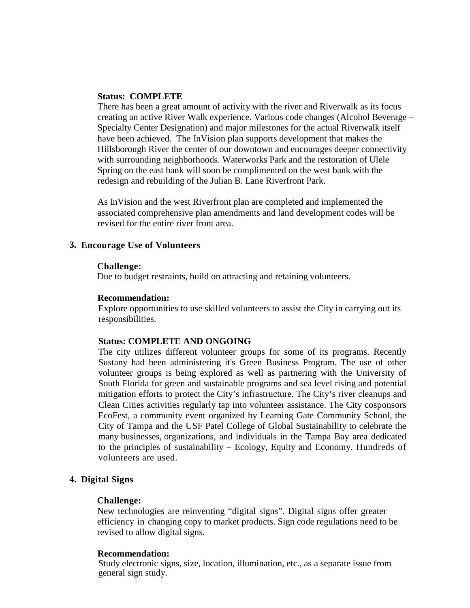## **Status: COMPLETE**

There has been a great amount of activity with the river and Riverwalk as its focus creating an active River Walk experience. Various code changes (Alcohol Beverage – Specialty Center Designation) and major milestones for the actual Riverwalk itself have been achieved. The InVision plan supports development that makes the Hillsborough River the center of our downtown and encourages deeper connectivity with surrounding neighborhoods. Waterworks Park and the restoration of Ulele Spring on the east bank will soon be complimented on the west bank with the redesign and rebuilding of the Julian B. Lane Riverfront Park.

As InVision and the west Riverfront plan are completed and implemented the associated comprehensive plan amendments and land development codes will be revised for the entire river front area.

## **3. Encourage Use of Volunteers**

## **Challenge:**

Due to budget restraints, build on attracting and retaining volunteers.

## **Recommendation:**

Explore opportunities to use skilled volunteers to assist the City in carrying out its responsibilities.

## **Status: COMPLETE AND ONGOING**

The city utilizes different volunteer groups for some of its programs. Recently Sustany had been administering it's Green Business Program. The use of other volunteer groups is being explored as well as partnering with the University of South Florida for green and sustainable programs and sea level rising and potential mitigation efforts to protect the City's infrastructure. The City's river cleanups and Clean Cities activities regularly tap into volunteer assistance. The City cosponsors EcoFest, a community event organized by Learning Gate Community School, the City of Tampa and the USF Patel College of Global Sustainability to celebrate the many businesses, organizations, and individuals in the Tampa Bay area dedicated to the principles of sustainability – Ecology, Equity and Economy. Hundreds of volunteers are used.

## **4. Digital Signs**

#### **Challenge:**

New technologies are reinventing "digital signs". Digital signs offer greater efficiency in changing copy to market products. Sign code regulations need to be revised to allow digital signs.

### **Recommendation:**

Study electronic signs, size, location, illumination, etc., as a separate issue from general sign study.